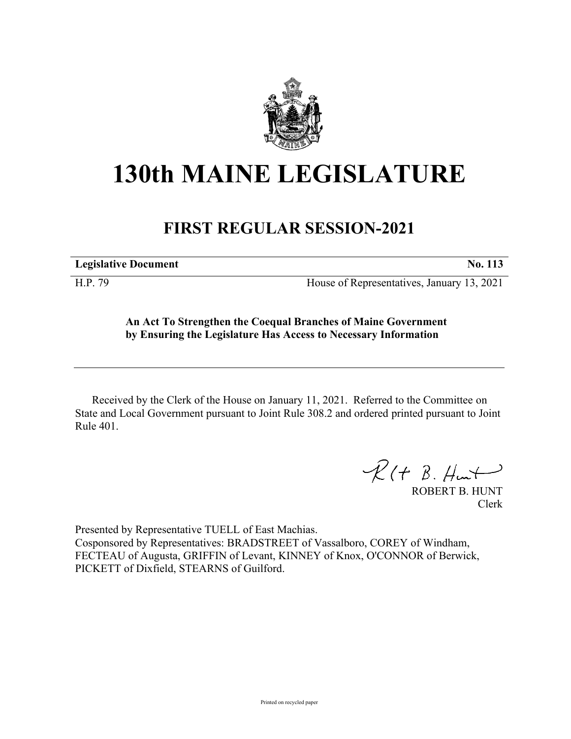

## **130th MAINE LEGISLATURE**

## **FIRST REGULAR SESSION-2021**

**Legislative Document No. 113**

H.P. 79 House of Representatives, January 13, 2021

## **An Act To Strengthen the Coequal Branches of Maine Government by Ensuring the Legislature Has Access to Necessary Information**

Received by the Clerk of the House on January 11, 2021. Referred to the Committee on State and Local Government pursuant to Joint Rule 308.2 and ordered printed pursuant to Joint Rule 401.

 $R(H B. H<sub>un</sub>+)$ 

ROBERT B. HUNT Clerk

Presented by Representative TUELL of East Machias. Cosponsored by Representatives: BRADSTREET of Vassalboro, COREY of Windham, FECTEAU of Augusta, GRIFFIN of Levant, KINNEY of Knox, O'CONNOR of Berwick, PICKETT of Dixfield, STEARNS of Guilford.